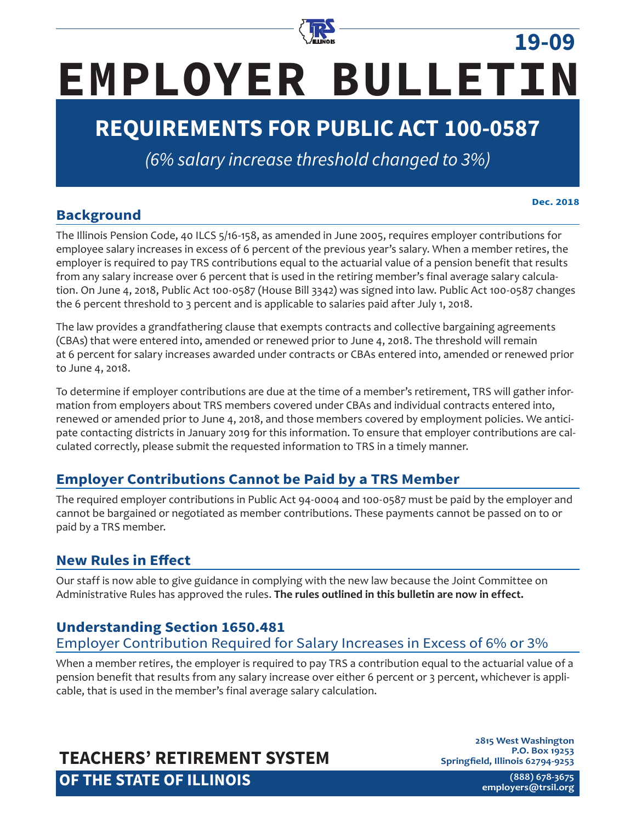

# **EMPLOYER BULLETIN**

# **REQUIREMENTS FOR PUBLIC ACT 100-0587**

*(6% salary increase threshold changed to 3%)*

# **Background**

**Dec. 2018**

**19-09**

The Illinois Pension Code, 40 ILCS 5/16-158, as amended in June 2005, requires employer contributions for employee salary increases in excess of 6 percent of the previous year's salary. When a member retires, the employer is required to pay TRS contributions equal to the actuarial value of a pension benefit that results from any salary increase over 6 percent that is used in the retiring member's final average salary calculation. On June 4, 2018, Public Act 100-0587 (House Bill 3342) was signed into law. Public Act 100-0587 changes the 6 percent threshold to 3 percent and is applicable to salaries paid after July 1, 2018.

The law provides a grandfathering clause that exempts contracts and collective bargaining agreements (CBAs) that were entered into, amended or renewed prior to June 4, 2018. The threshold will remain at 6 percent for salary increases awarded under contracts or CBAs entered into, amended or renewed prior to June 4, 2018.

To determine if employer contributions are due at the time of a member's retirement, TRS will gather information from employers about TRS members covered under CBAs and individual contracts entered into, renewed or amended prior to June 4, 2018, and those members covered by employment policies. We anticipate contacting districts in January 2019 for this information. To ensure that employer contributions are calculated correctly, please submit the requested information to TRS in a timely manner.

# **Employer Contributions Cannot be Paid by a TRS Member**

The required employer contributions in Public Act 94-0004 and 100-0587 must be paid by the employer and cannot be bargained or negotiated as member contributions. These payments cannot be passed on to or paid by a TRS member.

# **New Rules in Effect**

Our staff is now able to give guidance in complying with the new law because the Joint Committee on Administrative Rules has approved the rules. **The rules outlined in this bulletin are now in effect.**

# **Understanding Section 1650.481**

## Employer Contribution Required for Salary Increases in Excess of 6% or 3%

When a member retires, the employer is required to pay TRS a contribution equal to the actuarial value of a pension benefit that results from any salary increase over either 6 percent or 3 percent, whichever is applicable, that is used in the member's final average salary calculation.

# **TEACHERS' RETIREMENT SYSTEM OF THE STATE OF ILLINOIS**

**2815 West Washington P.O. Box 19253 Springfield, Illinois 62794-9253**

> **(888) 678-3675 [employers@trsi](mailto:employers%40trs.illinois.gov?subject=)l.org**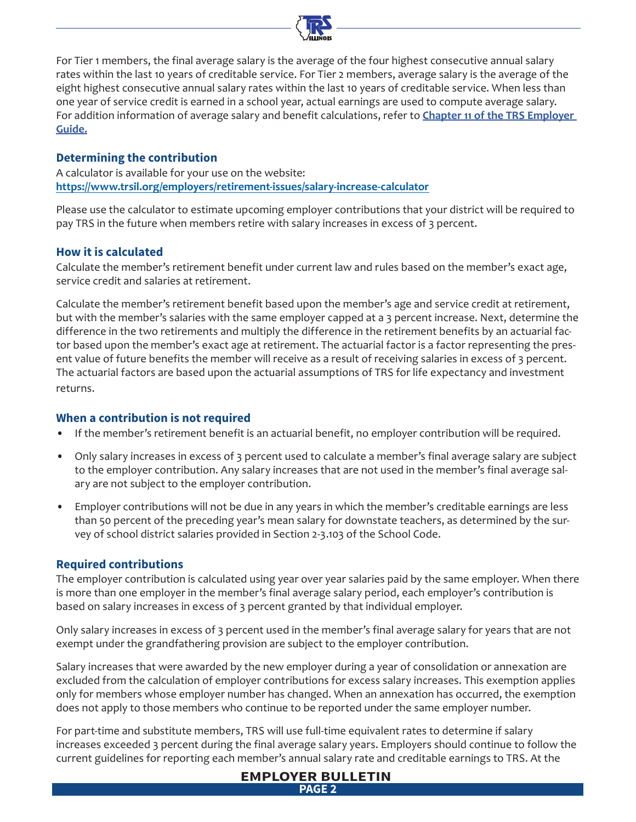

For Tier 1 members, the final average salary is the average of the four highest consecutive annual salary rates within the last 10 years of creditable service. For Tier 2 members, average salary is the average of the eight highest consecutive annual salary rates within the last 10 years of creditable service. When less than one year of service credit is earned in a school year, actual earnings are used to compute average salary. For addition information of average salary and benefit calculations, refer to **[Chapter 11 of the TRS Employer](https://www.trsil.org/employers/chapterEleven)  [Guide.](https://www.trsil.org/employers/chapterEleven)**

#### **Determining the contribution**

A calculator is available for your use on the website: **https://www.trsil.org/employers/retirement-issues/salary-increase-calculator**

Please use the calculator to estimate upcoming employer contributions that your district will be required to pay TRS in the future when members retire with salary increases in excess of 3 percent.

#### **How it is calculated**

Calculate the member's retirement benefit under current law and rules based on the member's exact age, service credit and salaries at retirement.

Calculate the member's retirement benefit based upon the member's age and service credit at retirement, but with the member's salaries with the same employer capped at a 3 percent increase. Next, determine the difference in the two retirements and multiply the difference in the retirement benefits by an actuarial factor based upon the member's exact age at retirement. The actuarial factor is a factor representing the present value of future benefits the member will receive as a result of receiving salaries in excess of 3 percent. The actuarial factors are based upon the actuarial assumptions of TRS for life expectancy and investment returns.

#### **When a contribution is not required**

- If the member's retirement benefit is an actuarial benefit, no employer contribution will be required.
- Only salary increases in excess of 3 percent used to calculate a member's final average salary are subject to the employer contribution. Any salary increases that are not used in the member's final average salary are not subject to the employer contribution.
- Employer contributions will not be due in any years in which the member's creditable earnings are less than 50 percent of the preceding year's mean salary for downstate teachers, as determined by the survey of school district salaries provided in Section 2-3.103 of the School Code.

#### **Required contributions**

The employer contribution is calculated using year over year salaries paid by the same employer. When there is more than one employer in the member's final average salary period, each employer's contribution is based on salary increases in excess of 3 percent granted by that individual employer.

Only salary increases in excess of 3 percent used in the member's final average salary for years that are not exempt under the grandfathering provision are subject to the employer contribution.

Salary increases that were awarded by the new employer during a year of consolidation or annexation are excluded from the calculation of employer contributions for excess salary increases. This exemption applies only for members whose employer number has changed. When an annexation has occurred, the exemption does not apply to those members who continue to be reported under the same employer number.

For part-time and substitute members, TRS will use full-time equivalent rates to determine if salary increases exceeded 3 percent during the final average salary years. Employers should continue to follow the current guidelines for reporting each member's annual salary rate and creditable earnings to TRS. At the

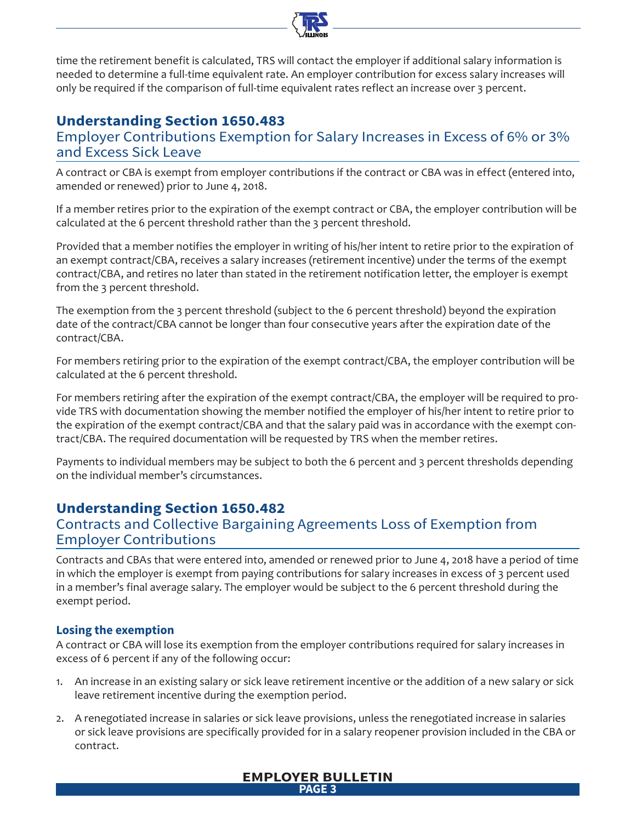

time the retirement benefit is calculated, TRS will contact the employer if additional salary information is needed to determine a full-time equivalent rate. An employer contribution for excess salary increases will only be required if the comparison of full-time equivalent rates reflect an increase over 3 percent.

# **Understanding Section 1650.483**

Employer Contributions Exemption for Salary Increases in Excess of 6% or 3% and Excess Sick Leave

A contract or CBA is exempt from employer contributions if the contract or CBA was in effect (entered into, amended or renewed) prior to June 4, 2018.

If a member retires prior to the expiration of the exempt contract or CBA, the employer contribution will be calculated at the 6 percent threshold rather than the 3 percent threshold.

Provided that a member notifies the employer in writing of his/her intent to retire prior to the expiration of an exempt contract/CBA, receives a salary increases (retirement incentive) under the terms of the exempt contract/CBA, and retires no later than stated in the retirement notification letter, the employer is exempt from the 3 percent threshold.

The exemption from the 3 percent threshold (subject to the 6 percent threshold) beyond the expiration date of the contract/CBA cannot be longer than four consecutive years after the expiration date of the contract/CBA.

For members retiring prior to the expiration of the exempt contract/CBA, the employer contribution will be calculated at the 6 percent threshold.

For members retiring after the expiration of the exempt contract/CBA, the employer will be required to provide TRS with documentation showing the member notified the employer of his/her intent to retire prior to the expiration of the exempt contract/CBA and that the salary paid was in accordance with the exempt contract/CBA. The required documentation will be requested by TRS when the member retires.

Payments to individual members may be subject to both the 6 percent and 3 percent thresholds depending on the individual member's circumstances.

# **Understanding Section 1650.482**

## Contracts and Collective Bargaining Agreements Loss of Exemption from Employer Contributions

Contracts and CBAs that were entered into, amended or renewed prior to June 4, 2018 have a period of time in which the employer is exempt from paying contributions for salary increases in excess of 3 percent used in a member's final average salary. The employer would be subject to the 6 percent threshold during the exempt period.

#### **Losing the exemption**

A contract or CBA will lose its exemption from the employer contributions required for salary increases in excess of 6 percent if any of the following occur:

- 1. An increase in an existing salary or sick leave retirement incentive or the addition of a new salary or sick leave retirement incentive during the exemption period.
- 2. A renegotiated increase in salaries or sick leave provisions, unless the renegotiated increase in salaries or sick leave provisions are specifically provided for in a salary reopener provision included in the CBA or contract.